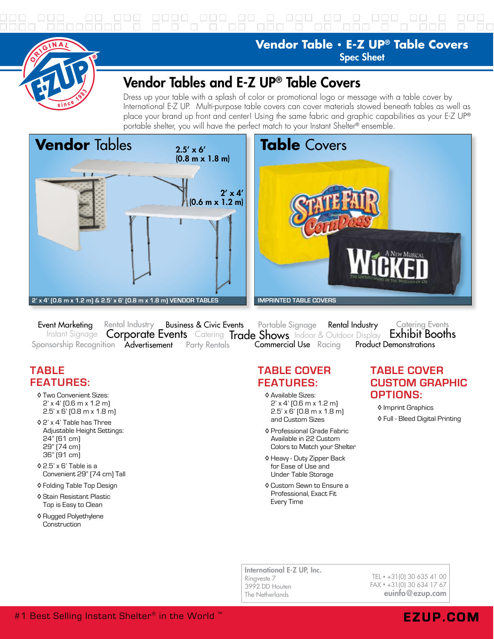

**Vendor Table • E-Z UP® Table Covers** Spec Sheet

## Vendor Tables and E-Z UP® Table Covers

Dress up your table with a splash of color or promotional logo or message with a table cover by International E-Z UP. Multi-purpose table covers can cover materials stowed beneath tables as well as place your brand up front and center! Using the same fabric and graphic capabilities as your E-Z UP® portable shelter, you will have the perfect match to your Instant Shelter® ensemble.





Event Marketing Rental Industry Business & Civic Events Portable Signage Rental Industry Catering Events<br>Instant Signage Corporate Events Catering Trade Shows Indoor & Outdoor Display Exhibit Booths Sponsorship Recognition Advertisement Party Rentals Product Demonstrations Rental Industry Business & Civic Events Portable Signage Rental Industry Catering Events Commercial Use Racing

## **TABLE FEATURES:**

- ◊ Two Convenient Sizes: 2' x 4' (0.6 m x 1.2 m) 2.5' x 6' (0.8 m x 1.8 m)
- ◊ 2' x 4' Table has Three Adjustable Height Settings: 24" (61 cm) 29" (74 cm) 36" (91 cm)
- ◊ 2.5' x 6' Table is a Convenient 29" (74 cm) Tall
- ◊ Folding Table Top Design
- ◊ Stain Resistant Plastic Top is Easy to Clean
- ◊ Rugged Polyethylene Construction

## **TABLE COVER FEATURES:**

- ◊ Available Sizes: 2' x 4' (0.6 m x 1.2 m) 2.5' x 6' (0.8 m x 1.8 m) and Custom Sizes
- ◊ Professional Grade Fabric Available in 22 Custom Colors to Match your Shelter
- ◊ Heavy Duty Zipper Back for Ease of Use and Under Table Storage
- ◊ Custom Sewn to Ensure a Professional, Exact Fit Every Time

### **TABLE COVER CUSTOM GRAPHIC OPTIONS:**

◊ Imprint Graphics ◊ Full - Bleed Digital Printing

International E-Z UP, Inc. Ringveste 7 3992 DD Houten The Netherlands

TEL • +31(0) 30 635 41 00 FAX • +31(0) 30 634 17 67 euinfo@ezup.com